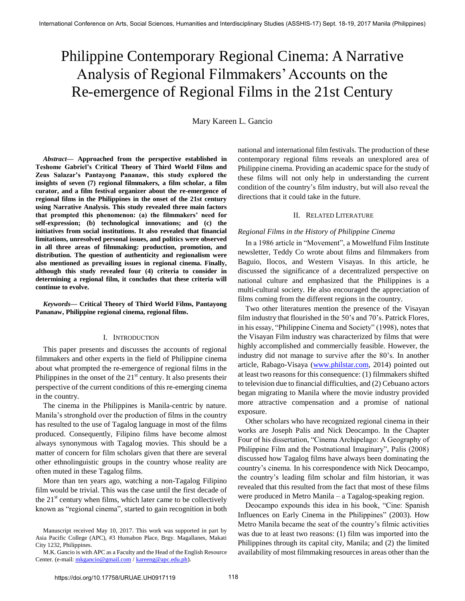# Philippine Contemporary Regional Cinema: A Narrative Analysis of Regional Filmmakers" Accounts on the Re-emergence of Regional Films in the 21st Century

Mary Kareen L. Gancio

*Abstract***— Approached from the perspective established in Teshome Gabriel's Critical Theory of Third World Films and Zeus Salazar's Pantayong Pananaw, this study explored the insights of seven (7) regional filmmakers, a film scholar, a film curator, and a film festival organizer about the re-emergence of regional films in the Philippines in the onset of the 21st century using Narrative Analysis. This study revealed three main factors that prompted this phenomenon: (a) the filmmakers' need for self-expression; (b) technological innovations; and (c) the initiatives from social institutions. It also revealed that financial limitations, unresolved personal issues, and politics were observed in all three areas of filmmaking: production, promotion, and distribution. The question of authenticity and regionalism were also mentioned as prevailing issues in regional cinema. Finally, although this study revealed four (4) criteria to consider in determining a regional film, it concludes that these criteria will continue to evolve.** 

*Keywords***— Critical Theory of Third World Films, Pantayong Pananaw, Philippine regional cinema, regional films.** 

# I. INTRODUCTION

This paper presents and discusses the accounts of regional filmmakers and other experts in the field of Philippine cinema about what prompted the re-emergence of regional films in the Philippines in the onset of the  $21<sup>st</sup>$  century. It also presents their perspective of the current conditions of this re-emerging cinema in the country.

The cinema in the Philippines is Manila-centric by nature. Manila"s stronghold over the production of films in the country has resulted to the use of Tagalog language in most of the films produced. Consequently, Filipino films have become almost always synonymous with Tagalog movies. This should be a matter of concern for film scholars given that there are several other ethnolinguistic groups in the country whose reality are often muted in these Tagalog films.

More than ten years ago, watching a non-Tagalog Filipino film would be trivial. This was the case until the first decade of the  $21<sup>st</sup>$  century when films, which later came to be collectively known as "regional cinema", started to gain recognition in both

national and international film festivals. The production of these contemporary regional films reveals an unexplored area of Philippine cinema. Providing an academic space for the study of these films will not only help in understanding the current condition of the country"s film industry, but will also reveal the directions that it could take in the future.

## II. RELATED LITERATURE

# *Regional Films in the History of Philippine Cinema*

In a 1986 article in "Movement", a Mowelfund Film Institute newsletter, Teddy Co wrote about films and filmmakers from Baguio, Ilocos, and Western Visayas. In this article, he discussed the significance of a decentralized perspective on national culture and emphasized that the Philippines is a multi-cultural society. He also encouraged the appreciation of films coming from the different regions in the country.

Two other literatures mention the presence of the Visayan film industry that flourished in the 50's and 70's. Patrick Flores, in his essay, "Philippine Cinema and Society" (1998), notes that the Visayan Film industry was characterized by films that were highly accomplished and commercially feasible. However, the industry did not manage to survive after the 80"s. In another article, Rabago-Visaya [\(www.philstar.com,](http://www.philstar.com/) 2014) pointed out at least two reasons for this consequence: (1) filmmakers shifted to television due to financial difficulties, and (2) Cebuano actors began migrating to Manila where the movie industry provided more attractive compensation and a promise of national exposure.

Other scholars who have recognized regional cinema in their works are Joseph Palis and Nick Deocampo. In the Chapter Four of his dissertation, "Cinema Archipelago: A Geography of Philippine Film and the Postnational Imaginary", Palis (2008) discussed how Tagalog films have always been dominating the country"s cinema. In his correspondence with Nick Deocampo, the country"s leading film scholar and film historian, it was revealed that this resulted from the fact that most of these films were produced in Metro Manila – a Tagalog-speaking region.

Deocampo expounds this idea in his book, "Cine: Spanish Influences on Early Cinema in the Philippines" (2003). How Metro Manila became the seat of the country"s filmic activities was due to at least two reasons: (1) film was imported into the Philippines through its capital city, Manila; and (2) the limited availability of most filmmaking resources in areas other than the

Manuscript received May 10, 2017. This work was supported in part by Asia Pacific College (APC), #3 Humabon Place, Brgy. Magallanes, Makati City 1232, Philippines.

M.K. Gancio is with APC as a Faculty and the Head of the English Resource Center. (e-mail[: mkgancio@gmail.com](mailto:mkgancio@gmail.com) [/ kareeng@apc.edu.ph\)](mailto:kareeng@apc.edu.ph).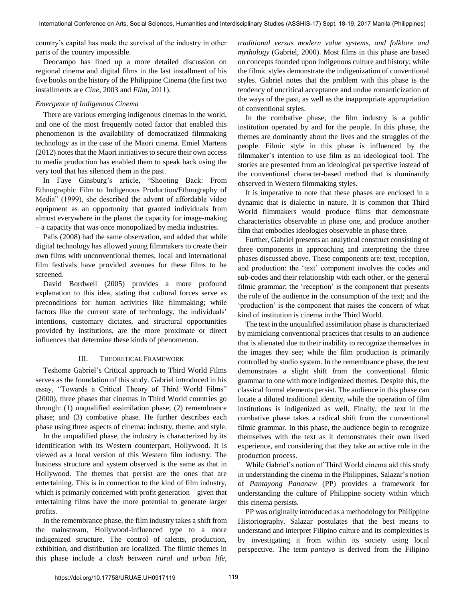country"s capital has made the survival of the industry in other parts of the country impossible.

Deocampo has lined up a more detailed discussion on regional cinema and digital films in the last installment of his five books on the history of the Philippine Cinema (the first two installments are *Cine*, 2003 and *Film*, 2011).

# *Emergence of Indigenous Cinema*

There are various emerging indigenous cinemas in the world, and one of the most frequently noted factor that enabled this phenomenon is the availability of democratized filmmaking technology as in the case of the Maori cinema. Emiel Martens (2012) notes that the Maori initiatives to secure their own access to media production has enabled them to speak back using the very tool that has silenced them in the past.

In Faye Ginsburg's article, "Shooting Back: From Ethnographic Film to Indigenous Production/Ethnography of Media" (1999), she described the advent of affordable video equipment as an opportunity that granted individuals from almost everywhere in the planet the capacity for image-making – a capacity that was once monopolized by media industries.

Palis (2008) had the same observation, and added that while digital technology has allowed young filmmakers to create their own films with unconventional themes, local and international film festivals have provided avenues for these films to be screened.

David Bordwell (2005) provides a more profound explanation to this idea, stating that cultural forces serve as preconditions for human activities like filmmaking; while factors like the current state of technology, the individuals' intentions, customary dictates, and structural opportunities provided by institutions, are the more proximate or direct influences that determine these kinds of phenomenon.

#### III. THEORETICAL FRAMEWORK

Teshome Gabriel"s Critical approach to Third World Films serves as the foundation of this study. Gabriel introduced in his essay, "Towards a Critical Theory of Third World Films" (2000), three phases that cinemas in Third World countries go through: (1) unqualified assimilation phase; (2) remembrance phase; and (3) combative phase. He further describes each phase using three aspects of cinema: industry, theme, and style.

In the unqualified phase, the industry is characterized by its identification with its Western counterpart, Hollywood. It is viewed as a local version of this Western film industry. The business structure and system observed is the same as that in Hollywood. The themes that persist are the ones that are entertaining. This is in connection to the kind of film industry, which is primarily concerned with profit generation – given that entertaining films have the more potential to generate larger profits.

In the remembrance phase, the film industry takes a shift from the mainstream, Hollywood-influenced type to a more indigenized structure. The control of talents, production, exhibition, and distribution are localized. The filmic themes in this phase include a *clash between rural and urban life,* 

*traditional versus modern value systems, and folklore and mythology* (Gabriel, 2000). Most films in this phase are based on concepts founded upon indigenous culture and history; while the filmic styles demonstrate the indigenization of conventional styles. Gabriel notes that the problem with this phase is the tendency of uncritical acceptance and undue romanticization of the ways of the past, as well as the inappropriate appropriation of conventional styles.

In the combative phase, the film industry is a public institution operated by and for the people. In this phase, the themes are dominantly about the lives and the struggles of the people. Filmic style in this phase is influenced by the filmmaker's intention to use film as an ideological tool. The stories are presented from an ideological perspective instead of the conventional character-based method that is dominantly observed in Western filmmaking styles.

It is imperative to note that these phases are enclosed in a dynamic that is dialectic in nature. It is common that Third World filmmakers would produce films that demonstrate characteristics observable in phase one, and produce another film that embodies ideologies observable in phase three.

Further, Gabriel presents an analytical construct consisting of three components in approaching and interpreting the three phases discussed above. These components are: text, reception, and production: the "text" component involves the codes and sub-codes and their relationship with each other, or the general filmic grammar; the 'reception' is the component that presents the role of the audience in the consumption of the text; and the "production" is the component that raises the concern of what kind of institution is cinema in the Third World.

The text in the unqualified assimilation phase is characterized by mimicking conventional practices that results to an audience that is alienated due to their inability to recognize themselves in the images they see; while the film production is primarily controlled by studio system. In the remembrance phase, the text demonstrates a slight shift from the conventional filmic grammar to one with more indigenized themes. Despite this, the classical formal elements persist. The audience in this phase can locate a diluted traditional identity, while the operation of film institutions is indigenized as well. Finally, the text in the combative phase takes a radical shift from the conventional filmic grammar. In this phase, the audience begin to recognize themselves with the text as it demonstrates their own lived experience, and considering that they take an active role in the production process.

While Gabriel"s notion of Third World cinema aid this study in understanding the cinema in the Philippines, Salazar"s notion of *Pantayong Pananaw* (PP) provides a framework for understanding the culture of Philippine society within which this cinema persists.

PP was originally introduced as a methodology for Philippine Historiography. Salazar postulates that the best means to understand and interpret Filipino culture and its complexities is by investigating it from within its society using local perspective. The term *pantayo* is derived from the Filipino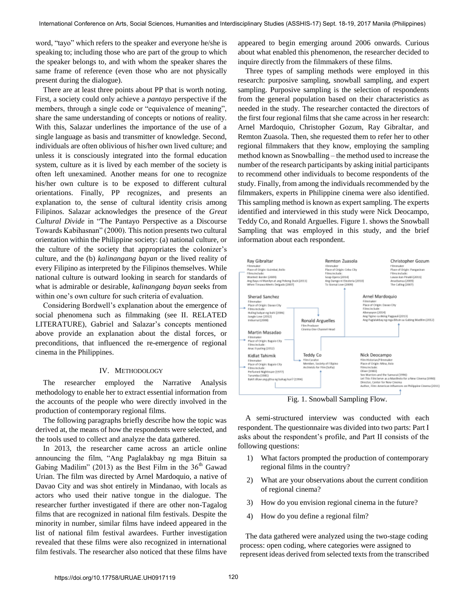word, "tayo" which refers to the speaker and everyone he/she is speaking to; including those who are part of the group to which the speaker belongs to, and with whom the speaker shares the same frame of reference (even those who are not physically present during the dialogue).

There are at least three points about PP that is worth noting. First, a society could only achieve a *pantayo* perspective if the members, through a single code or "equivalence of meaning", share the same understanding of concepts or notions of reality. With this, Salazar underlines the importance of the use of a single language as basis and transmitter of knowledge. Second, individuals are often oblivious of his/her own lived culture; and unless it is consciously integrated into the formal education system, culture as it is lived by each member of the society is often left unexamined. Another means for one to recognize his/her own culture is to be exposed to different cultural orientations. Finally, PP recognizes, and presents an explanation to, the sense of cultural identity crisis among Filipinos. Salazar acknowledges the presence of the *Great Cultural Divide* in "The Pantayo Perspective as a Discourse Towards Kabihasnan" (2000). This notion presents two cultural orientation within the Philippine society: (a) national culture, or the culture of the society that appropriates the colonizer"s culture, and the (b) *kalinangang bayan* or the lived reality of every Filipino as interpreted by the Filipinos themselves. While national culture is outward looking in search for standards of what is admirable or desirable, *kalinangang bayan* seeks from within one's own culture for such criteria of evaluation.

Considering Bordwell"s explanation about the emergence of social phenomena such as filmmaking (see II. RELATED LITERATURE), Gabriel and Salazar's concepts mentioned above provide an explanation about the distal forces, or preconditions, that influenced the re-emergence of regional cinema in the Philippines.

#### IV. METHODOLOGY

The researcher employed the Narrative Analysis methodology to enable her to extract essential information from the accounts of the people who were directly involved in the production of contemporary regional films.

The following paragraphs briefly describe how the topic was derived at, the means of how the respondents were selected, and the tools used to collect and analyze the data gathered.

In 2013, the researcher came across an article online announcing the film, "Ang Paglalakbay ng mga Bituin sa Gabing Madilim" (2013) as the Best Film in the  $36<sup>th</sup>$  Gawad Urian. The film was directed by Arnel Mardoquio, a native of Davao City and was shot entirely in Mindanao, with locals as actors who used their native tongue in the dialogue. The researcher further investigated if there are other non-Tagalog films that are recognized in national film festivals. Despite the minority in number, similar films have indeed appeared in the list of national film festival awardees. Further investigation revealed that these films were also recognized in international film festivals. The researcher also noticed that these films have

appeared to begin emerging around 2006 onwards. Curious about what enabled this phenomenon, the researcher decided to inquire directly from the filmmakers of these films.

Three types of sampling methods were employed in this research: purposive sampling, snowball sampling, and expert sampling. Purposive sampling is the selection of respondents from the general population based on their characteristics as needed in the study. The researcher contacted the directors of the first four regional films that she came across in her research: Arnel Mardoquio, Christopher Gozum, Ray Gibraltar, and Remton Zuasola. Then, she requested them to refer her to other regional filmmakers that they know, employing the sampling method known as Snowballing – the method used to increase the number of the research participants by asking initial participants to recommend other individuals to become respondents of the study. Finally, from among the individuals recommended by the filmmakers, experts in Philippine cinema were also identified. This sampling method is known as expert sampling. The experts identified and interviewed in this study were Nick Deocampo, Teddy Co, and Ronald Arguelles. Figure 1. shows the Snowball Sampling that was employed in this study, and the brief information about each respondent.



A semi-structured interview was conducted with each respondent. The questionnaire was divided into two parts: Part I asks about the respondent"s profile, and Part II consists of the following questions:

- 1) What factors prompted the production of contemporary regional films in the country?
- 2) What are your observations about the current condition of regional cinema?
- 3) How do you envision regional cinema in the future?
- 4) How do you define a regional film?

The data gathered were analyzed using the two-stage coding process: open coding, where categories were assigned to represent ideas derived from selected texts from the transcribed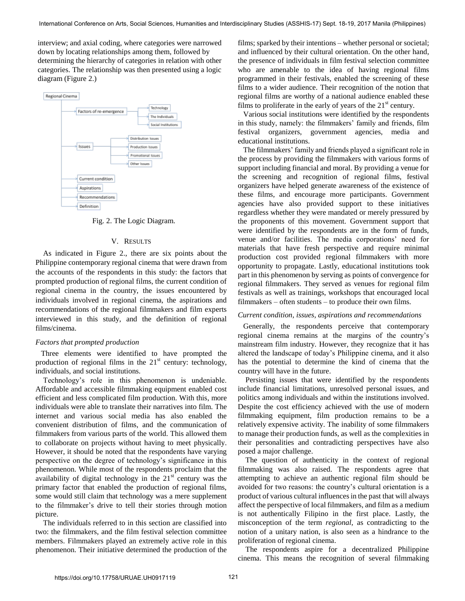interview; and axial coding, where categories were narrowed down by locating relationships among them, followed by determining the hierarchy of categories in relation with other categories. The relationship was then presented using a logic diagram (Figure 2.)



Fig. 2. The Logic Diagram.

### V. RESULTS

As indicated in Figure 2., there are six points about the Philippine contemporary regional cinema that were drawn from the accounts of the respondents in this study: the factors that prompted production of regional films, the current condition of regional cinema in the country, the issues encountered by individuals involved in regional cinema, the aspirations and recommendations of the regional filmmakers and film experts interviewed in this study, and the definition of regional films/cinema.

# *Factors that prompted production*

Three elements were identified to have prompted the production of regional films in the  $21<sup>st</sup>$  century: technology, individuals, and social institutions.

Technology"s role in this phenomenon is undeniable. Affordable and accessible filmmaking equipment enabled cost efficient and less complicated film production. With this, more individuals were able to translate their narratives into film. The internet and various social media has also enabled the convenient distribution of films, and the communication of filmmakers from various parts of the world. This allowed them to collaborate on projects without having to meet physically. However, it should be noted that the respondents have varying perspective on the degree of technology"s significance in this phenomenon. While most of the respondents proclaim that the availability of digital technology in the  $21<sup>st</sup>$  century was the primary factor that enabled the production of regional films, some would still claim that technology was a mere supplement to the filmmaker"s drive to tell their stories through motion picture.

 The individuals referred to in this section are classified into two: the filmmakers, and the film festival selection committee members. Filmmakers played an extremely active role in this phenomenon. Their initiative determined the production of the films; sparked by their intentions – whether personal or societal; and influenced by their cultural orientation. On the other hand, the presence of individuals in film festival selection committee who are amenable to the idea of having regional films programmed in their festivals, enabled the screening of these films to a wider audience. Their recognition of the notion that regional films are worthy of a national audience enabled these films to proliferate in the early of years of the  $21<sup>st</sup>$  century.

Various social institutions were identified by the respondents in this study, namely: the filmmakers' family and friends, film festival organizers, government agencies, media and educational institutions.

The filmmakers' family and friends played a significant role in the process by providing the filmmakers with various forms of support including financial and moral. By providing a venue for the screening and recognition of regional films, festival organizers have helped generate awareness of the existence of these films, and encourage more participants. Government agencies have also provided support to these initiatives regardless whether they were mandated or merely pressured by the proponents of this movement. Government support that were identified by the respondents are in the form of funds, venue and/or facilities. The media corporations" need for materials that have fresh perspective and require minimal production cost provided regional filmmakers with more opportunity to propagate. Lastly, educational institutions took part in this phenomenon by serving as points of convergence for regional filmmakers. They served as venues for regional film festivals as well as trainings, workshops that encouraged local filmmakers – often students – to produce their own films.

#### *Current condition, issues, aspirations and recommendations*

Generally, the respondents perceive that contemporary regional cinema remains at the margins of the country"s mainstream film industry. However, they recognize that it has altered the landscape of today"s Philippine cinema, and it also has the potential to determine the kind of cinema that the country will have in the future.

Persisting issues that were identified by the respondents include financial limitations, unresolved personal issues, and politics among individuals and within the institutions involved. Despite the cost efficiency achieved with the use of modern filmmaking equipment, film production remains to be a relatively expensive activity. The inability of some filmmakers to manage their production funds, as well as the complexities in their personalities and contradicting perspectives have also posed a major challenge.

The question of authenticity in the context of regional filmmaking was also raised. The respondents agree that attempting to achieve an authentic regional film should be avoided for two reasons: the country"s cultural orientation is a product of various cultural influences in the past that will always affect the perspective of local filmmakers, and film as a medium is not authentically Filipino in the first place. Lastly, the misconception of the term *regional*, as contradicting to the notion of a unitary nation, is also seen as a hindrance to the proliferation of regional cinema.

The respondents aspire for a decentralized Philippine cinema. This means the recognition of several filmmaking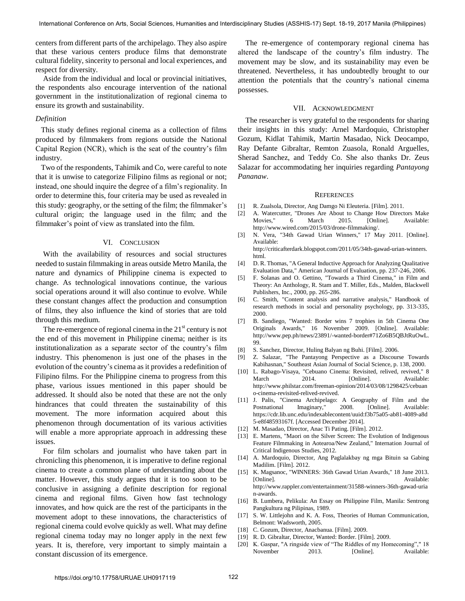centers from different parts of the archipelago. They also aspire that these various centers produce films that demonstrate cultural fidelity, sincerity to personal and local experiences, and respect for diversity.

Aside from the individual and local or provincial initiatives, the respondents also encourage intervention of the national government in the institutionalization of regional cinema to ensure its growth and sustainability.

#### *Definition*

This study defines regional cinema as a collection of films produced by filmmakers from regions outside the National Capital Region (NCR), which is the seat of the country"s film industry.

Two of the respondents, Tahimik and Co, were careful to note that it is unwise to categorize Filipino films as regional or not; instead, one should inquire the degree of a film"s regionality. In order to determine this, four criteria may be used as revealed in this study: geography, or the setting of the film; the filmmaker"s cultural origin; the language used in the film; and the filmmaker's point of view as translated into the film.

# VI. CONCLUSION

With the availability of resources and social structures needed to sustain filmmaking in areas outside Metro Manila, the nature and dynamics of Philippine cinema is expected to change. As technological innovations continue, the various social operations around it will also continue to evolve. While these constant changes affect the production and consumption of films, they also influence the kind of stories that are told through this medium.

The re-emergence of regional cinema in the  $21<sup>st</sup>$  century is not the end of this movement in Philippine cinema; neither is its institutionalization as a separate sector of the country's film industry. This phenomenon is just one of the phases in the evolution of the country"s cinema as it provides a redefinition of Filipino films. For the Philippine cinema to progress from this phase, various issues mentioned in this paper should be addressed. It should also be noted that these are not the only hindrances that could threaten the sustainability of this movement. The more information acquired about this phenomenon through documentation of its various activities will enable a more appropriate approach in addressing these issues.

For film scholars and journalist who have taken part in chronicling this phenomenon, it is imperative to define regional cinema to create a common plane of understanding about the matter. However, this study argues that it is too soon to be conclusive in assigning a definite description for regional cinema and regional films. Given how fast technology innovates, and how quick are the rest of the participants in the movement adopt to these innovations, the characteristics of regional cinema could evolve quickly as well. What may define regional cinema today may no longer apply in the next few years. It is, therefore, very important to simply maintain a constant discussion of its emergence.

The re-emergence of contemporary regional cinema has altered the landscape of the country"s film industry. The movement may be slow, and its sustainability may even be threatened. Nevertheless, it has undoubtedly brought to our attention the potentials that the country"s national cinema possesses.

### VII. ACKNOWLEDGMENT

The researcher is very grateful to the respondents for sharing their insights in this study: Arnel Mardoquio, Christopher Gozum, Kidlat Tahimik, Martin Masadao, Nick Deocampo, Ray Defante Gibraltar, Remton Zuasola, Ronald Arguelles, Sherad Sanchez, and Teddy Co. She also thanks Dr. Zeus Salazar for accommodating her inquiries regarding *Pantayong Pananaw*.

#### **REFERENCES**

- [1] R. Zualsola, Director, Ang Damgo Ni Eleuteria. [Film]. 2011.
- [2] A. Watercutter, "Drones Are About to Change How Directors Make Movies," 6 March 2015. [Online]. Available: http://www.wired.com/2015/03/drone-filmmaking/.
- [3] N. Vera, "34th Gawad Urian Winners," 17 May 2011. [Online]. Available:
	- http://criticafterdark.blogspot.com/2011/05/34th-gawad-urian-winners. html.
- [4] D. R. Thomas, "A General Inductive Approach for Analyzing Qualitative Evaluation Data," American Journal of Evaluation, pp. 237-246, 2006.
- [5] F. Solanas and O. Gettino, "Towards a Third Cinema," in Film and Theory: An Anthology, R. Stam and T. Miller, Eds., Malden, Blackwell Publishers, Inc., 2000, pp. 265-286.
- [6] C. Smith, "Content analysis and narrative analysis," Handbook of research methods in social and personality psychology, pp. 313-335, 2000.
- [7] B. Sandiego, "Wanted: Border wins 7 trophies in 5th Cinema One Originals Awards," 16 November 2009. [Online]. Available: http://www.pep.ph/news/23891/-wanted-border#71Zo6B5QBJtRuOwL. 99.
- [8] S. Sanchez, Director, Huling Balyan ng Buhi. [Film]. 2006.
- [9] Z. Salazar, "The Pantayong Perspective as a Discourse Towards Kabihasnan," Southeast Asian Journal of Social Science, p. 138, 2000.
- [10] L. Rabago-Visaya, "Cebuano Cinema: Revisited, relived, revived," 8 March 2014. [Online]. Available: http://www.philstar.com/freeman-opinion/2014/03/08/1298425/cebuan o-cinema-revisited-relived-revived.
- [11] J. Palis, "Cinema Archipelago: A Geography of Film and the Postnational Imaginary," 2008. [Online]. Available: https://cdr.lib.unc.edu/indexablecontent/uuid:f3b75a05-ab81-4089-a8d 5-e8f48593167f. [Accessed December 2014].
- [12] M. Masadao, Director, Anac Ti Pating. [Film]. 2012.
- [13] E. Martens, "Maori on the Silver Screen: The Evolution of Indigenous Feature Filmmaking in Aotearoa/New Zealand," Internation Journal of Critical Indigenous Studies, 2012.
- [14] A. Mardoquio, Director, Ang Paglalakbay ng mga Bituin sa Gabing Madilim. [Film]. 2012.
- [15] K. Magsanoc, "WINNERS: 36th Gawad Urian Awards," 18 June 2013. [Online]. Available: http://www.rappler.com/entertainment/31588-winners-36th-gawad-uria n-awards.
- [16] B. Lumbera, Pelikula: An Essay on Philippine Film, Manila: Sentrong Pangkultura ng Pilipinas, 1989.
- [17] S. W. Littlejohn and K. A. Foss, Theories of Human Communication, Belmont: Wadsworth, 2005.
- [18] C. Gozum, Director, Anacbanua. [Film]. 2009.
- [19] R. D. Gibraltar, Director, Wanted: Border. [Film]. 2009.
- [20] K. Gaspar, "A ringside view of "The Riddles of my Homecoming"," 18 November 2013. [Online]. Available: